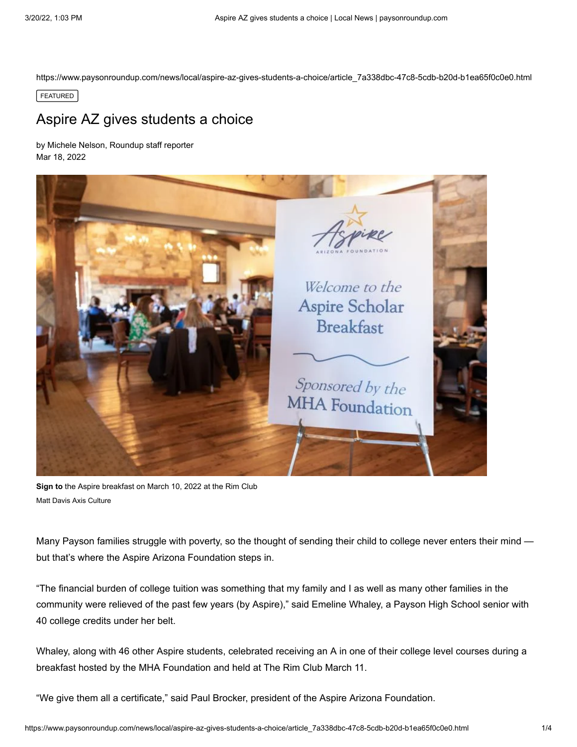https://www.paysonroundup.com/news/local/aspire-az-gives-students-a-choice/article\_7a338dbc-47c8-5cdb-b20d-b1ea65f0c0e0.html

FEATURED

## Aspire AZ gives students a choice

[by Michele Nelson, Roundup staff reporter](https://www.paysonroundup.com/users/profile/mnelson) Mar 18, 2022



**Sign to** the Aspire breakfast on March 10, 2022 at the Rim Club Matt Davis Axis Culture

Many Payson families struggle with poverty, so the thought of sending their child to college never enters their mind but that's where the Aspire Arizona Foundation steps in.

"The financial burden of college tuition was something that my family and I as well as many other families in the community were relieved of the past few years (by Aspire)," said Emeline Whaley, a Payson High School senior with 40 college credits under her belt.

Whaley, along with 46 other Aspire students, celebrated receiving an A in one of their college level courses during a breakfast hosted by the MHA Foundation and held at The Rim Club March 11.

"We give them all a certificate," said Paul Brocker, president of the Aspire Arizona Foundation.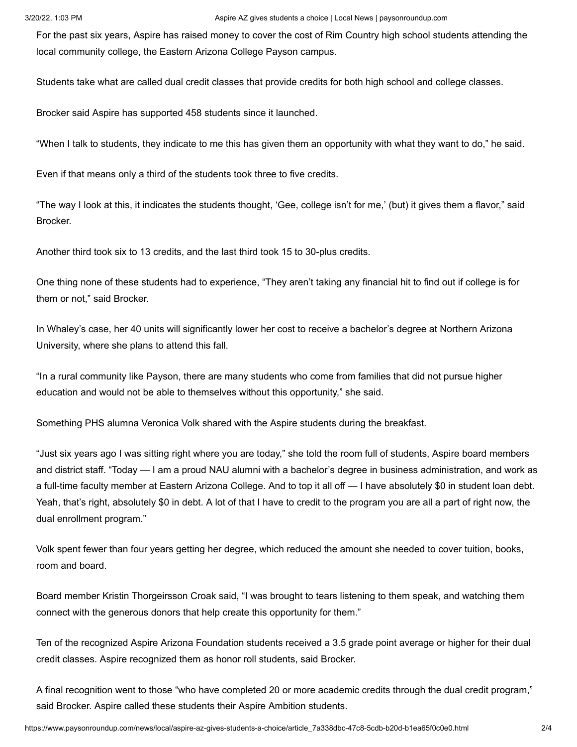For the past six years, Aspire has raised money to cover the cost of Rim Country high school students attending the local community college, the Eastern Arizona College Payson campus.

Students take what are called dual credit classes that provide credits for both high school and college classes.

Brocker said Aspire has supported 458 students since it launched.

"When I talk to students, they indicate to me this has given them an opportunity with what they want to do," he said.

Even if that means only a third of the students took three to five credits.

"The way I look at this, it indicates the students thought, 'Gee, college isn't for me,' (but) it gives them a flavor," said Brocker.

Another third took six to 13 credits, and the last third took 15 to 30-plus credits.

One thing none of these students had to experience, "They aren't taking any financial hit to find out if college is for them or not," said Brocker.

In Whaley's case, her 40 units will significantly lower her cost to receive a bachelor's degree at Northern Arizona University, where she plans to attend this fall.

"In a rural community like Payson, there are many students who come from families that did not pursue higher education and would not be able to themselves without this opportunity," she said.

Something PHS alumna Veronica Volk shared with the Aspire students during the breakfast.

"Just six years ago I was sitting right where you are today," she told the room full of students, Aspire board members and district staff. "Today — I am a proud NAU alumni with a bachelor's degree in business administration, and work as a full-time faculty member at Eastern Arizona College. And to top it all off — I have absolutely \$0 in student loan debt. Yeah, that's right, absolutely \$0 in debt. A lot of that I have to credit to the program you are all a part of right now, the dual enrollment program."

Volk spent fewer than four years getting her degree, which reduced the amount she needed to cover tuition, books, room and board.

Board member Kristin Thorgeirsson Croak said, "I was brought to tears listening to them speak, and watching them connect with the generous donors that help create this opportunity for them."

Ten of the recognized Aspire Arizona Foundation students received a 3.5 grade point average or higher for their dual credit classes. Aspire recognized them as honor roll students, said Brocker.

A final recognition went to those "who have completed 20 or more academic credits through the dual credit program," said Brocker. Aspire called these students their Aspire Ambition students.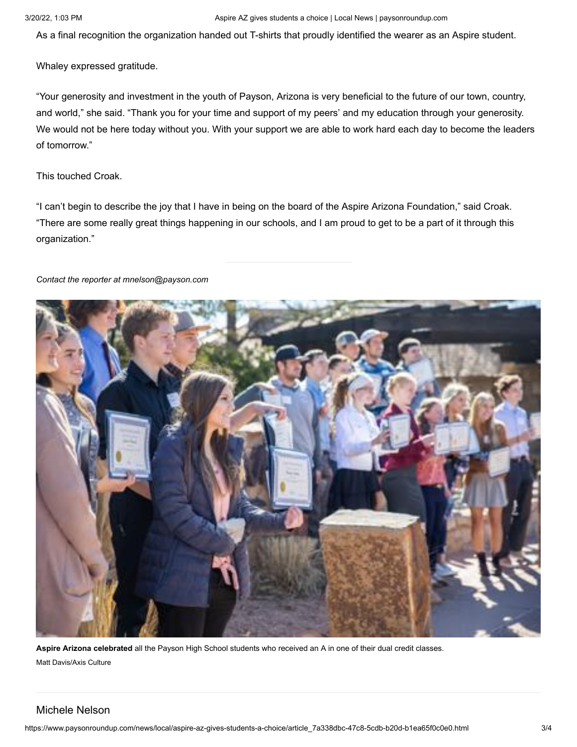As a final recognition the organization handed out T-shirts that proudly identified the wearer as an Aspire student.

Whaley expressed gratitude.

"Your generosity and investment in the youth of Payson, Arizona is very beneficial to the future of our town, country, and world," she said. "Thank you for your time and support of my peers' and my education through your generosity. We would not be here today without you. With your support we are able to work hard each day to become the leaders of tomorrow."

This touched Croak.

"I can't begin to describe the joy that I have in being on the board of the Aspire Arizona Foundation," said Croak. "There are some really great things happening in our schools, and I am proud to get to be a part of it through this organization."

## *Contact the reporter at [mnelson@payson.com](mailto:mnelson@payson.com)*



**Aspire Arizona celebrated** all the Payson High School students who received an A in one of their dual credit classes. Matt Davis/Axis Culture